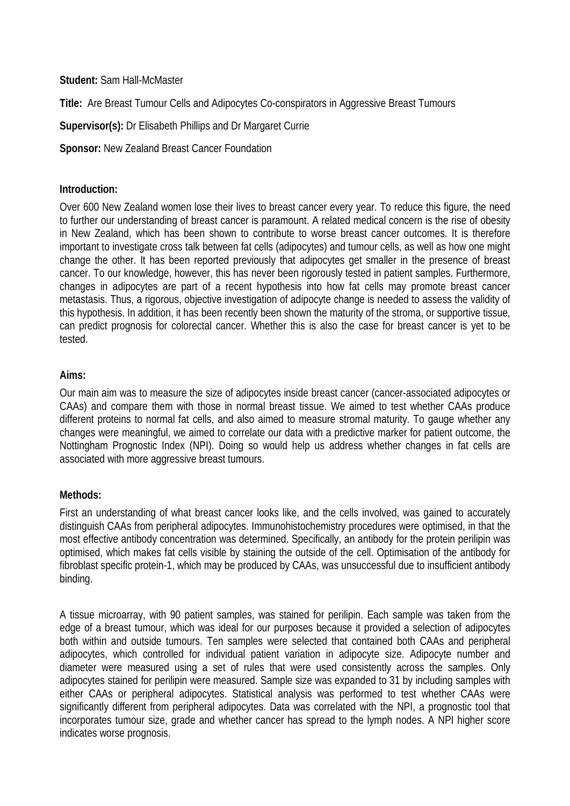# **Student:** Sam Hall-McMaster

**Title:** Are Breast Tumour Cells and Adipocytes Co-conspirators in Aggressive Breast Tumours

**Supervisor(s):** Dr Elisabeth Phillips and Dr Margaret Currie

**Sponsor:** New Zealand Breast Cancer Foundation

# **Introduction:**

Over 600 New Zealand women lose their lives to breast cancer every year. To reduce this figure, the need to further our understanding of breast cancer is paramount. A related medical concern is the rise of obesity in New Zealand, which has been shown to contribute to worse breast cancer outcomes. It is therefore important to investigate cross talk between fat cells (adipocytes) and tumour cells, as well as how one might change the other. It has been reported previously that adipocytes get smaller in the presence of breast cancer. To our knowledge, however, this has never been rigorously tested in patient samples. Furthermore, changes in adipocytes are part of a recent hypothesis into how fat cells may promote breast cancer metastasis. Thus, a rigorous, objective investigation of adipocyte change is needed to assess the validity of this hypothesis. In addition, it has been recently been shown the maturity of the stroma, or supportive tissue, can predict prognosis for colorectal cancer. Whether this is also the case for breast cancer is yet to be tested.

## **Aims:**

Our main aim was to measure the size of adipocytes inside breast cancer (cancer-associated adipocytes or CAAs) and compare them with those in normal breast tissue. We aimed to test whether CAAs produce different proteins to normal fat cells, and also aimed to measure stromal maturity. To gauge whether any changes were meaningful, we aimed to correlate our data with a predictive marker for patient outcome, the Nottingham Prognostic Index (NPI). Doing so would help us address whether changes in fat cells are associated with more aggressive breast tumours.

# **Methods:**

First an understanding of what breast cancer looks like, and the cells involved, was gained to accurately distinguish CAAs from peripheral adipocytes. Immunohistochemistry procedures were optimised, in that the most effective antibody concentration was determined. Specifically, an antibody for the protein perilipin was optimised, which makes fat cells visible by staining the outside of the cell. Optimisation of the antibody for fibroblast specific protein-1, which may be produced by CAAs, was unsuccessful due to insufficient antibody binding.

A tissue microarray, with 90 patient samples, was stained for perilipin. Each sample was taken from the edge of a breast tumour, which was ideal for our purposes because it provided a selection of adipocytes both within and outside tumours. Ten samples were selected that contained both CAAs and peripheral adipocytes, which controlled for individual patient variation in adipocyte size. Adipocyte number and diameter were measured using a set of rules that were used consistently across the samples. Only adipocytes stained for perilipin were measured. Sample size was expanded to 31 by including samples with either CAAs or peripheral adipocytes. Statistical analysis was performed to test whether CAAs were significantly different from peripheral adipocytes. Data was correlated with the NPI, a prognostic tool that incorporates tumour size, grade and whether cancer has spread to the lymph nodes. A NPI higher score indicates worse prognosis.